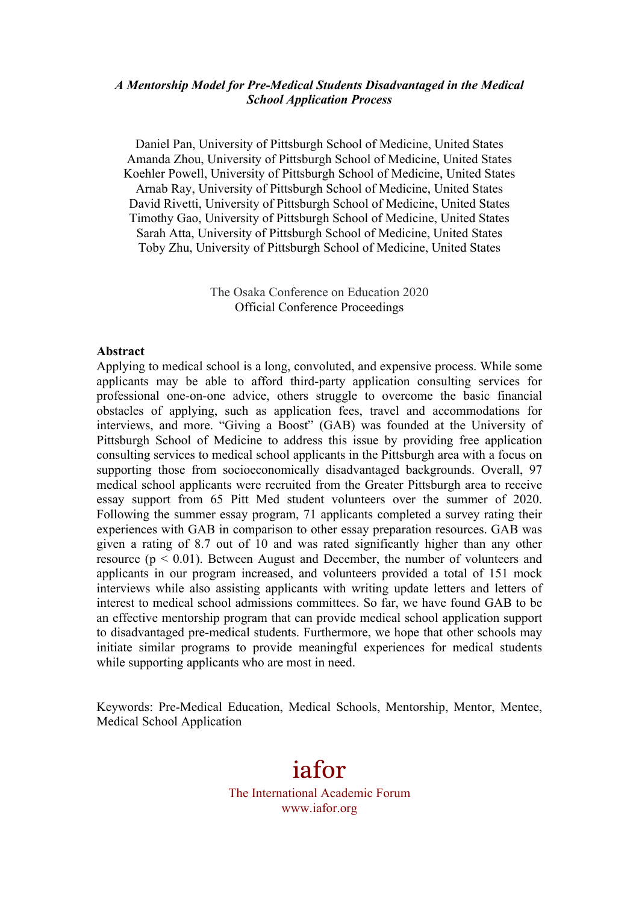#### *A Mentorship Model for Pre-Medical Students Disadvantaged in the Medical School Application Process*

Daniel Pan, University of Pittsburgh School of Medicine, United States Amanda Zhou, University of Pittsburgh School of Medicine, United States Koehler Powell, University of Pittsburgh School of Medicine, United States Arnab Ray, University of Pittsburgh School of Medicine, United States David Rivetti, University of Pittsburgh School of Medicine, United States Timothy Gao, University of Pittsburgh School of Medicine, United States Sarah Atta, University of Pittsburgh School of Medicine, United States Toby Zhu, University of Pittsburgh School of Medicine, United States

> The Osaka Conference on Education 2020 Official Conference Proceedings

#### **Abstract**

Applying to medical school is a long, convoluted, and expensive process. While some applicants may be able to afford third-party application consulting services for professional one-on-one advice, others struggle to overcome the basic financial obstacles of applying, such as application fees, travel and accommodations for interviews, and more. "Giving a Boost" (GAB) was founded at the University of Pittsburgh School of Medicine to address this issue by providing free application consulting services to medical school applicants in the Pittsburgh area with a focus on supporting those from socioeconomically disadvantaged backgrounds. Overall, 97 medical school applicants were recruited from the Greater Pittsburgh area to receive essay support from 65 Pitt Med student volunteers over the summer of 2020. Following the summer essay program, 71 applicants completed a survey rating their experiences with GAB in comparison to other essay preparation resources. GAB was given a rating of 8.7 out of 10 and was rated significantly higher than any other resource ( $p < 0.01$ ). Between August and December, the number of volunteers and applicants in our program increased, and volunteers provided a total of 151 mock interviews while also assisting applicants with writing update letters and letters of interest to medical school admissions committees. So far, we have found GAB to be an effective mentorship program that can provide medical school application support to disadvantaged pre-medical students. Furthermore, we hope that other schools may initiate similar programs to provide meaningful experiences for medical students while supporting applicants who are most in need.

Keywords: Pre-Medical Education, Medical Schools, Mentorship, Mentor, Mentee, Medical School Application

# iafor

The International Academic Forum www.iafor.org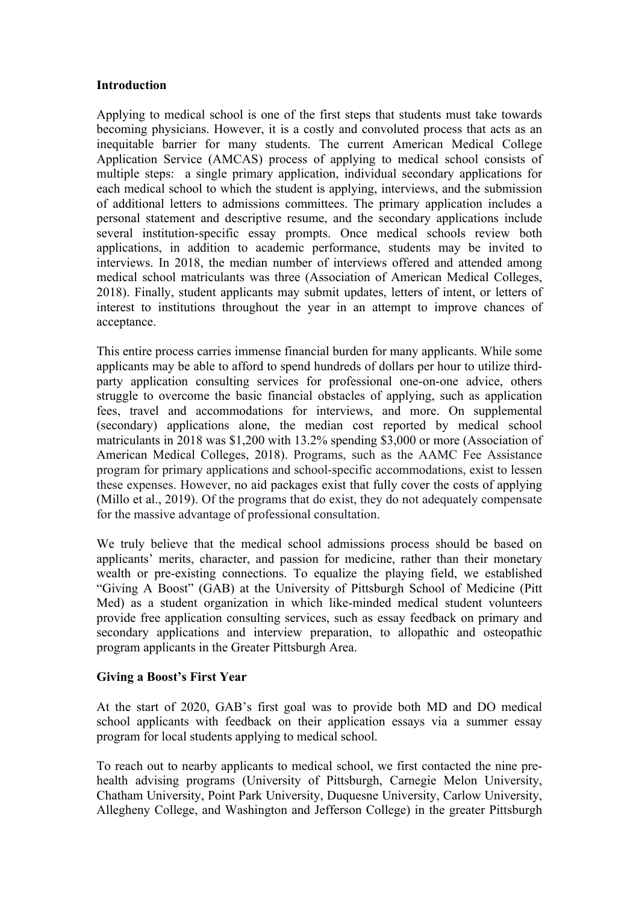#### **Introduction**

Applying to medical school is one of the first steps that students must take towards becoming physicians. However, it is a costly and convoluted process that acts as an inequitable barrier for many students. The current American Medical College Application Service (AMCAS) process of applying to medical school consists of multiple steps: a single primary application, individual secondary applications for each medical school to which the student is applying, interviews, and the submission of additional letters to admissions committees. The primary application includes a personal statement and descriptive resume, and the secondary applications include several institution-specific essay prompts. Once medical schools review both applications, in addition to academic performance, students may be invited to interviews. In 2018, the median number of interviews offered and attended among medical school matriculants was three (Association of American Medical Colleges, 2018). Finally, student applicants may submit updates, letters of intent, or letters of interest to institutions throughout the year in an attempt to improve chances of acceptance.

This entire process carries immense financial burden for many applicants. While some applicants may be able to afford to spend hundreds of dollars per hour to utilize thirdparty application consulting services for professional one-on-one advice, others struggle to overcome the basic financial obstacles of applying, such as application fees, travel and accommodations for interviews, and more. On supplemental (secondary) applications alone, the median cost reported by medical school matriculants in 2018 was \$1,200 with 13.2% spending \$3,000 or more (Association of American Medical Colleges, 2018). Programs, such as the AAMC Fee Assistance program for primary applications and school-specific accommodations, exist to lessen these expenses. However, no aid packages exist that fully cover the costs of applying (Millo et al., 2019). Of the programs that do exist, they do not adequately compensate for the massive advantage of professional consultation.

We truly believe that the medical school admissions process should be based on applicants' merits, character, and passion for medicine, rather than their monetary wealth or pre-existing connections. To equalize the playing field, we established "Giving A Boost" (GAB) at the University of Pittsburgh School of Medicine (Pitt Med) as a student organization in which like-minded medical student volunteers provide free application consulting services, such as essay feedback on primary and secondary applications and interview preparation, to allopathic and osteopathic program applicants in the Greater Pittsburgh Area.

#### **Giving a Boost's First Year**

At the start of 2020, GAB's first goal was to provide both MD and DO medical school applicants with feedback on their application essays via a summer essay program for local students applying to medical school.

To reach out to nearby applicants to medical school, we first contacted the nine prehealth advising programs (University of Pittsburgh, Carnegie Melon University, Chatham University, Point Park University, Duquesne University, Carlow University, Allegheny College, and Washington and Jefferson College) in the greater Pittsburgh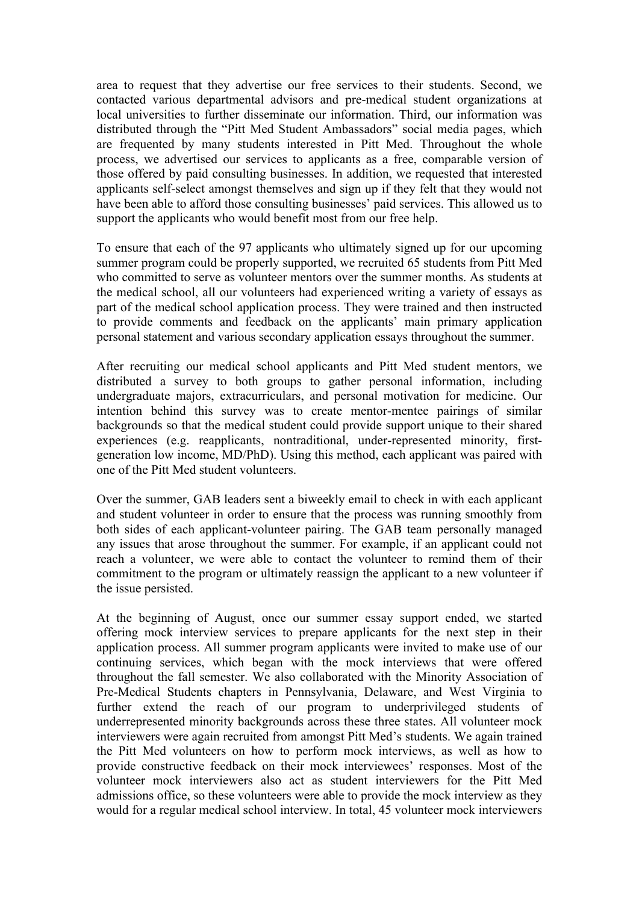area to request that they advertise our free services to their students. Second, we contacted various departmental advisors and pre-medical student organizations at local universities to further disseminate our information. Third, our information was distributed through the "Pitt Med Student Ambassadors" social media pages, which are frequented by many students interested in Pitt Med. Throughout the whole process, we advertised our services to applicants as a free, comparable version of those offered by paid consulting businesses. In addition, we requested that interested applicants self-select amongst themselves and sign up if they felt that they would not have been able to afford those consulting businesses' paid services. This allowed us to support the applicants who would benefit most from our free help.

To ensure that each of the 97 applicants who ultimately signed up for our upcoming summer program could be properly supported, we recruited 65 students from Pitt Med who committed to serve as volunteer mentors over the summer months. As students at the medical school, all our volunteers had experienced writing a variety of essays as part of the medical school application process. They were trained and then instructed to provide comments and feedback on the applicants' main primary application personal statement and various secondary application essays throughout the summer.

After recruiting our medical school applicants and Pitt Med student mentors, we distributed a survey to both groups to gather personal information, including undergraduate majors, extracurriculars, and personal motivation for medicine. Our intention behind this survey was to create mentor-mentee pairings of similar backgrounds so that the medical student could provide support unique to their shared experiences (e.g. reapplicants, nontraditional, under-represented minority, firstgeneration low income, MD/PhD). Using this method, each applicant was paired with one of the Pitt Med student volunteers.

Over the summer, GAB leaders sent a biweekly email to check in with each applicant and student volunteer in order to ensure that the process was running smoothly from both sides of each applicant-volunteer pairing. The GAB team personally managed any issues that arose throughout the summer. For example, if an applicant could not reach a volunteer, we were able to contact the volunteer to remind them of their commitment to the program or ultimately reassign the applicant to a new volunteer if the issue persisted.

At the beginning of August, once our summer essay support ended, we started offering mock interview services to prepare applicants for the next step in their application process. All summer program applicants were invited to make use of our continuing services, which began with the mock interviews that were offered throughout the fall semester. We also collaborated with the Minority Association of Pre-Medical Students chapters in Pennsylvania, Delaware, and West Virginia to further extend the reach of our program to underprivileged students of underrepresented minority backgrounds across these three states. All volunteer mock interviewers were again recruited from amongst Pitt Med's students. We again trained the Pitt Med volunteers on how to perform mock interviews, as well as how to provide constructive feedback on their mock interviewees' responses. Most of the volunteer mock interviewers also act as student interviewers for the Pitt Med admissions office, so these volunteers were able to provide the mock interview as they would for a regular medical school interview. In total, 45 volunteer mock interviewers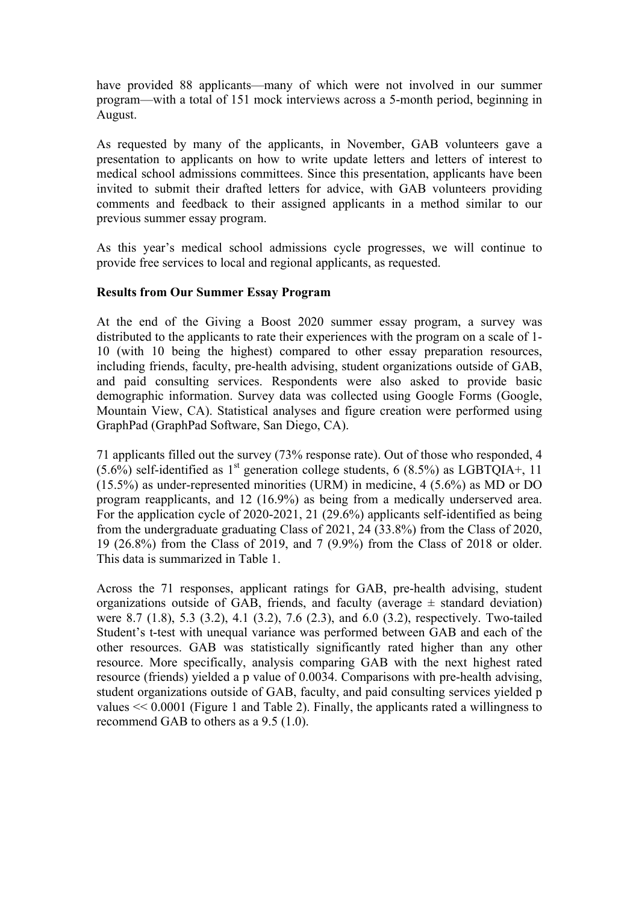have provided 88 applicants—many of which were not involved in our summer program—with a total of 151 mock interviews across a 5-month period, beginning in August.

As requested by many of the applicants, in November, GAB volunteers gave a presentation to applicants on how to write update letters and letters of interest to medical school admissions committees. Since this presentation, applicants have been invited to submit their drafted letters for advice, with GAB volunteers providing comments and feedback to their assigned applicants in a method similar to our previous summer essay program.

As this year's medical school admissions cycle progresses, we will continue to provide free services to local and regional applicants, as requested.

#### **Results from Our Summer Essay Program**

At the end of the Giving a Boost 2020 summer essay program, a survey was distributed to the applicants to rate their experiences with the program on a scale of 1- 10 (with 10 being the highest) compared to other essay preparation resources, including friends, faculty, pre-health advising, student organizations outside of GAB, and paid consulting services. Respondents were also asked to provide basic demographic information. Survey data was collected using Google Forms (Google, Mountain View, CA). Statistical analyses and figure creation were performed using GraphPad (GraphPad Software, San Diego, CA).

71 applicants filled out the survey (73% response rate). Out of those who responded, 4  $(5.6\%)$  self-identified as 1<sup>st</sup> generation college students, 6 (8.5%) as LGBTQIA+, 11 (15.5%) as under-represented minorities (URM) in medicine, 4 (5.6%) as MD or DO program reapplicants, and 12 (16.9%) as being from a medically underserved area. For the application cycle of 2020-2021, 21 (29.6%) applicants self-identified as being from the undergraduate graduating Class of 2021, 24 (33.8%) from the Class of 2020, 19 (26.8%) from the Class of 2019, and 7 (9.9%) from the Class of 2018 or older. This data is summarized in Table 1.

Across the 71 responses, applicant ratings for GAB, pre-health advising, student organizations outside of GAB, friends, and faculty (average  $\pm$  standard deviation) were 8.7 (1.8), 5.3 (3.2), 4.1 (3.2), 7.6 (2.3), and 6.0 (3.2), respectively. Two-tailed Student's t-test with unequal variance was performed between GAB and each of the other resources. GAB was statistically significantly rated higher than any other resource. More specifically, analysis comparing GAB with the next highest rated resource (friends) yielded a p value of 0.0034. Comparisons with pre-health advising, student organizations outside of GAB, faculty, and paid consulting services yielded p values << 0.0001 (Figure 1 and Table 2). Finally, the applicants rated a willingness to recommend GAB to others as a 9.5 (1.0).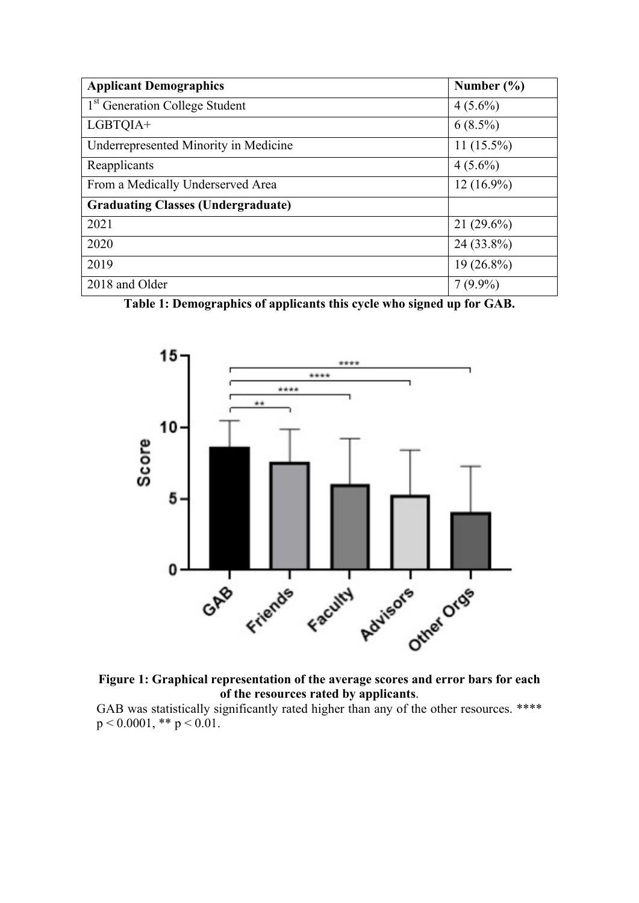| <b>Applicant Demographics</b>              | Number $(\% )$ |
|--------------------------------------------|----------------|
| 1 <sup>st</sup> Generation College Student | $4(5.6\%)$     |
| LGBTQIA+                                   | $6(8.5\%)$     |
| Underrepresented Minority in Medicine      | $11(15.5\%)$   |
| Reapplicants                               | $4(5.6\%)$     |
| From a Medically Underserved Area          | $12(16.9\%)$   |
| <b>Graduating Classes (Undergraduate)</b>  |                |
| 2021                                       | $21(29.6\%)$   |
| 2020                                       | 24 (33.8%)     |
| 2019                                       | $19(26.8\%)$   |
| 2018 and Older                             | $7(9.9\%)$     |

**Table 1: Demographics of applicants this cycle who signed up for GAB.**



**Figure 1: Graphical representation of the average scores and error bars for each of the resources rated by applicants**.

GAB was statistically significantly rated higher than any of the other resources. \*\*\*\*  $p < 0.0001$ , \*\*  $p < 0.01$ .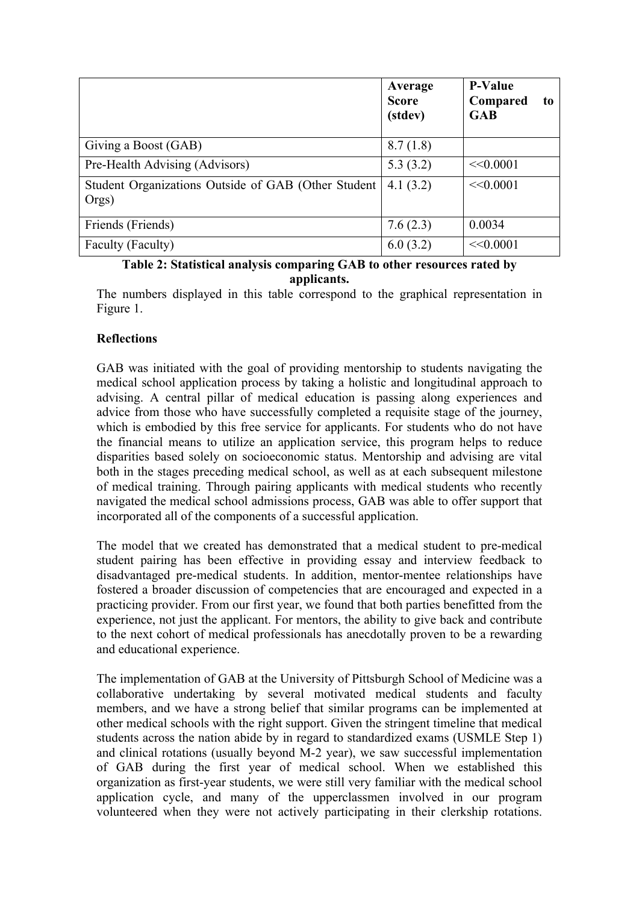|                                                               | Average<br><b>Score</b><br>(stdev) | <b>P-Value</b><br>Compared<br>to<br><b>GAB</b> |
|---------------------------------------------------------------|------------------------------------|------------------------------------------------|
| Giving a Boost (GAB)                                          | 8.7(1.8)                           |                                                |
| Pre-Health Advising (Advisors)                                | 5.3(3.2)                           | <<0.0001                                       |
| Student Organizations Outside of GAB (Other Student)<br>Orgs) | 4.1(3.2)                           | <<0.0001                                       |
| Friends (Friends)                                             | 7.6(2.3)                           | 0.0034                                         |
| Faculty (Faculty)                                             | 6.0(3.2)                           | <<0.0001                                       |

#### **Table 2: Statistical analysis comparing GAB to other resources rated by applicants.**

The numbers displayed in this table correspond to the graphical representation in Figure 1.

# **Reflections**

GAB was initiated with the goal of providing mentorship to students navigating the medical school application process by taking a holistic and longitudinal approach to advising. A central pillar of medical education is passing along experiences and advice from those who have successfully completed a requisite stage of the journey, which is embodied by this free service for applicants. For students who do not have the financial means to utilize an application service, this program helps to reduce disparities based solely on socioeconomic status. Mentorship and advising are vital both in the stages preceding medical school, as well as at each subsequent milestone of medical training. Through pairing applicants with medical students who recently navigated the medical school admissions process, GAB was able to offer support that incorporated all of the components of a successful application.

The model that we created has demonstrated that a medical student to pre-medical student pairing has been effective in providing essay and interview feedback to disadvantaged pre-medical students. In addition, mentor-mentee relationships have fostered a broader discussion of competencies that are encouraged and expected in a practicing provider. From our first year, we found that both parties benefitted from the experience, not just the applicant. For mentors, the ability to give back and contribute to the next cohort of medical professionals has anecdotally proven to be a rewarding and educational experience.

The implementation of GAB at the University of Pittsburgh School of Medicine was a collaborative undertaking by several motivated medical students and faculty members, and we have a strong belief that similar programs can be implemented at other medical schools with the right support. Given the stringent timeline that medical students across the nation abide by in regard to standardized exams (USMLE Step 1) and clinical rotations (usually beyond M-2 year), we saw successful implementation of GAB during the first year of medical school. When we established this organization as first-year students, we were still very familiar with the medical school application cycle, and many of the upperclassmen involved in our program volunteered when they were not actively participating in their clerkship rotations.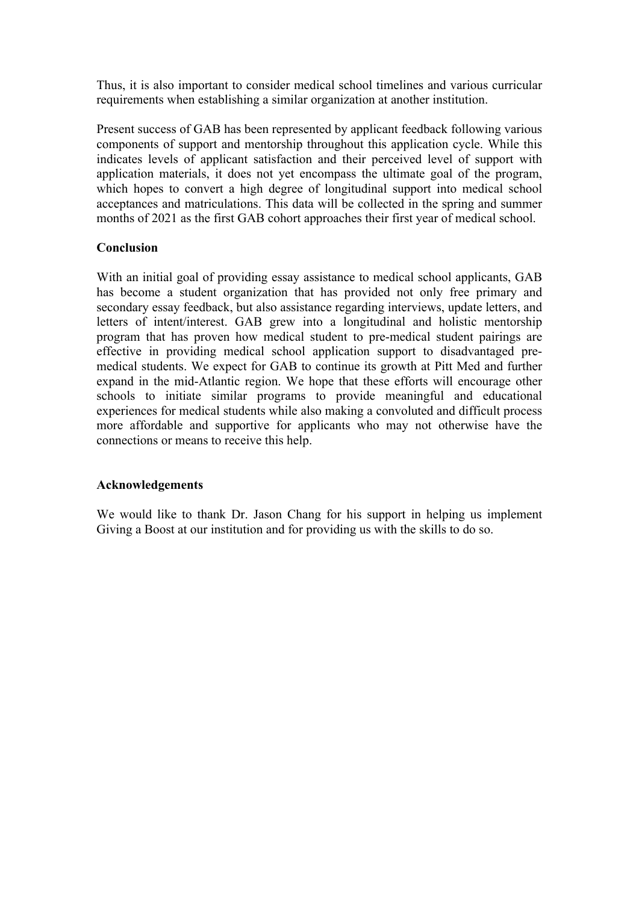Thus, it is also important to consider medical school timelines and various curricular requirements when establishing a similar organization at another institution.

Present success of GAB has been represented by applicant feedback following various components of support and mentorship throughout this application cycle. While this indicates levels of applicant satisfaction and their perceived level of support with application materials, it does not yet encompass the ultimate goal of the program, which hopes to convert a high degree of longitudinal support into medical school acceptances and matriculations. This data will be collected in the spring and summer months of 2021 as the first GAB cohort approaches their first year of medical school.

### **Conclusion**

With an initial goal of providing essay assistance to medical school applicants, GAB has become a student organization that has provided not only free primary and secondary essay feedback, but also assistance regarding interviews, update letters, and letters of intent/interest. GAB grew into a longitudinal and holistic mentorship program that has proven how medical student to pre-medical student pairings are effective in providing medical school application support to disadvantaged premedical students. We expect for GAB to continue its growth at Pitt Med and further expand in the mid-Atlantic region. We hope that these efforts will encourage other schools to initiate similar programs to provide meaningful and educational experiences for medical students while also making a convoluted and difficult process more affordable and supportive for applicants who may not otherwise have the connections or means to receive this help.

# **Acknowledgements**

We would like to thank Dr. Jason Chang for his support in helping us implement Giving a Boost at our institution and for providing us with the skills to do so.